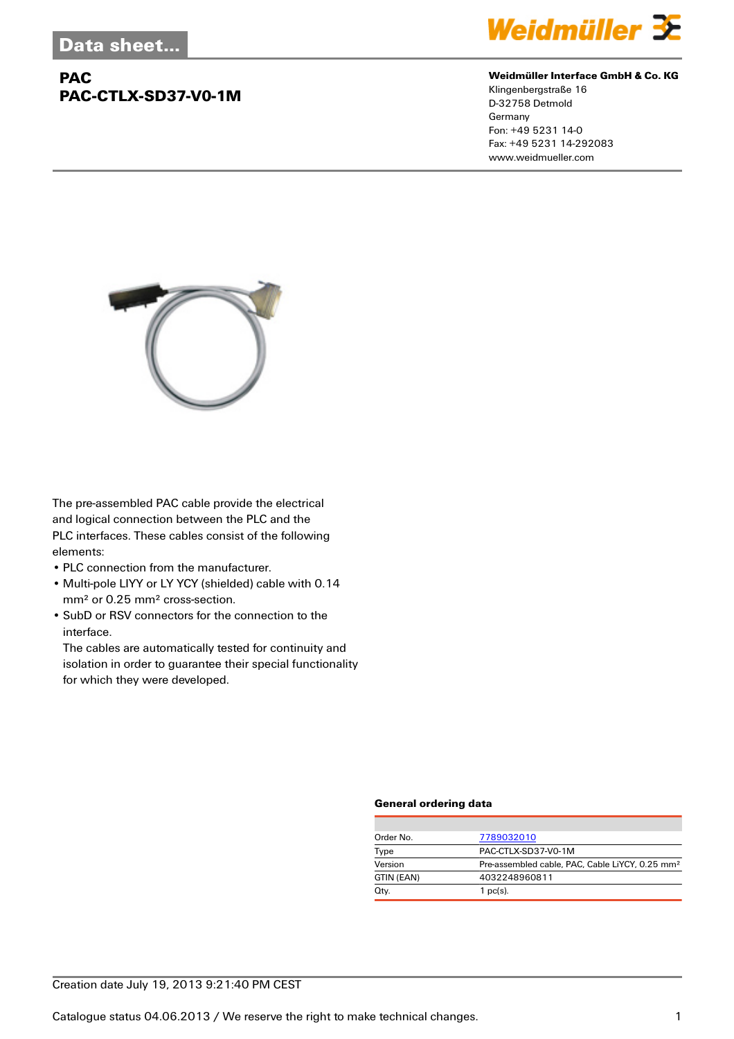## **PAC PAC-CTLX-SD37-V0-1M**



#### **Weidmüller Interface GmbH & Co. KG**

Klingenbergstraße 16 D-32758 Detmold Germany Fon: +49 5231 14-0 Fax: +49 5231 14-292083 www.weidmueller.com



The pre-assembled PAC cable provide the electrical and logical connection between the PLC and the PLC interfaces. These cables consist of the following elements:

- PLC connection from the manufacturer.
- Multi-pole LIYY or LY YCY (shielded) cable with 0.14 mm² or 0.25 mm² cross-section.
- SubD or RSV connectors for the connection to the interface.

The cables are automatically tested for continuity and isolation in order to guarantee their special functionality for which they were developed.

#### **General ordering data**

| Order No.  | 7789032010                                                  |  |
|------------|-------------------------------------------------------------|--|
| Type       | PAC-CTLX-SD37-V0-1M                                         |  |
| Version    | Pre-assembled cable, PAC, Cable LiYCY, 0.25 mm <sup>2</sup> |  |
| GTIN (EAN) | 4032248960811                                               |  |
| Qty.       | $1$ pc(s).                                                  |  |